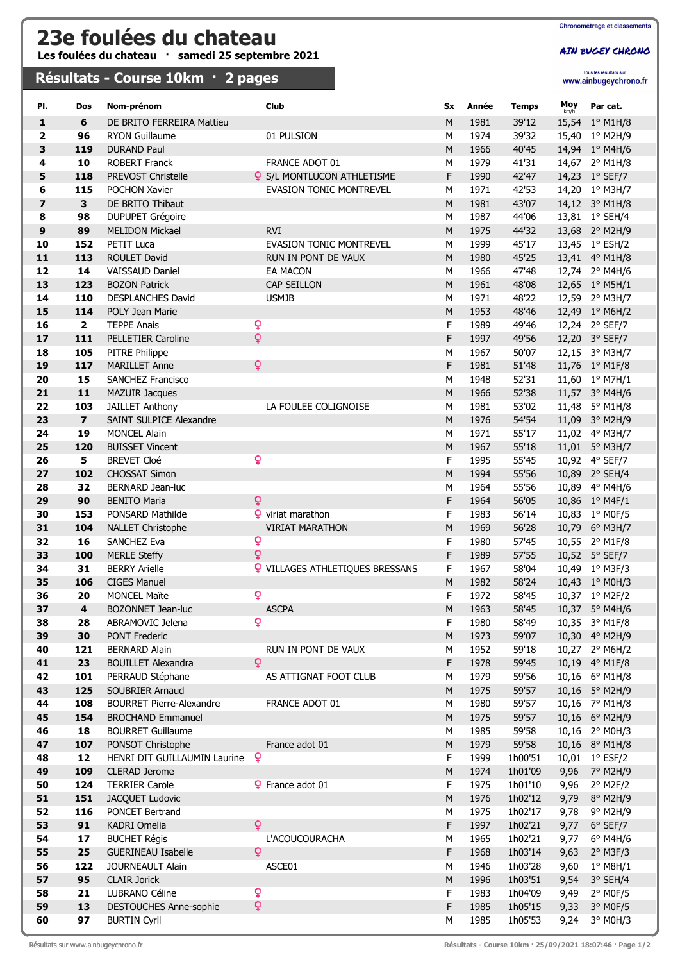## 23e foulées du chateau

Les foulées du chateau · samedi 25 septembre 2021

## Résultats - Course 10km · 2 pages

AIN BUGEY CHRONO

Tous les résultats sur<br>WWW.ainbugeychrono.fr

| PI.                     | Dos                     | Nom-prénom                                           | Club                                   | Sx          | Année        | <b>Temps</b>       | Moy          | Par cat.                      |
|-------------------------|-------------------------|------------------------------------------------------|----------------------------------------|-------------|--------------|--------------------|--------------|-------------------------------|
| $\mathbf{1}$            | 6                       | DE BRITO FERREIRA Mattieu                            |                                        | M           | 1981         | 39'12              |              | 15,54 1° M1H/8                |
| $\overline{2}$          | 96                      | <b>RYON Guillaume</b>                                | 01 PULSION                             | М           | 1974         | 39'32              |              | 15,40 1° M2H/9                |
| 3                       | 119                     | <b>DURAND Paul</b>                                   |                                        | M           | 1966         | 40'45              |              | 14,94 1° M4H/6                |
| 4                       | 10                      | <b>ROBERT Franck</b>                                 | FRANCE ADOT 01                         | М           | 1979         | 41'31              |              | 14,67 2° M1H/8                |
| 5                       | 118                     | PREVOST Christelle                                   | <b>Q</b> S/L MONTLUCON ATHLETISME      | F           | 1990         | 42'47              |              | 14,23 1° SEF/7                |
| 6                       | 115                     | POCHON Xavier                                        | <b>EVASION TONIC MONTREVEL</b>         | М           | 1971         | 42'53              |              | 14,20 1° M3H/7                |
| $\overline{\mathbf{z}}$ | 3                       | DE BRITO Thibaut                                     |                                        | M           | 1981         | 43'07              |              | 14,12 3° M1H/8                |
| 8                       | 98                      | <b>DUPUPET Grégoire</b>                              |                                        | М           | 1987         | 44'06              |              | 13,81 1° SEH/4                |
| $\boldsymbol{9}$        | 89                      | <b>MELIDON Mickael</b>                               | <b>RVI</b>                             | M           | 1975         | 44'32              |              | 13,68 2° M2H/9                |
| 10                      | 152                     | <b>PETIT Luca</b>                                    | <b>EVASION TONIC MONTREVEL</b>         | М           | 1999         | 45'17              |              | 13,45 1° ESH/2                |
| 11                      | 113                     | <b>ROULET David</b>                                  | RUN IN PONT DE VAUX                    | M           | 1980         | 45'25              |              | 13,41 4° M1H/8                |
| 12                      | 14                      | <b>VAISSAUD Daniel</b>                               | <b>EA MACON</b>                        | М           | 1966         | 47'48              |              | 12,74 2° M4H/6                |
| 13                      | 123                     | <b>BOZON Patrick</b>                                 | <b>CAP SEILLON</b>                     | M           | 1961         | 48'08              |              | 12,65 1° M5H/1                |
| 14                      | 110                     | DESPLANCHES David                                    | <b>USMJB</b>                           | М           | 1971         | 48'22              |              | 12,59 2° M3H/7                |
| 15                      | 114                     | POLY Jean Marie                                      |                                        | M           | 1953         | 48'46              |              | 12,49 1° M6H/2                |
| 16                      | $\overline{2}$          | <b>TEPPE Anais</b>                                   | Q                                      | F           | 1989         | 49'46              |              | 12,24 2° SEF/7                |
| 17                      | 111                     | PELLETIER Caroline                                   | $\overline{Q}$                         | F           | 1997         | 49'56              |              | 12,20 3° SEF/7                |
| 18                      | 105                     | PITRE Philippe                                       |                                        | M           | 1967         | 50'07              |              | 12,15 3° M3H/7                |
| 19                      | 117                     | <b>MARILLET Anne</b>                                 | Q                                      | F           | 1981         | 51'48              |              | 11,76 1° M1F/8                |
| 20                      | 15                      | <b>SANCHEZ Francisco</b>                             |                                        | М           | 1948         | 52'31              |              | 11,60 1° M7H/1                |
| 21                      | $\mathbf{11}$           | <b>MAZUIR Jacques</b>                                |                                        | M           | 1966         | 52'38              |              | 11,57 3° M4H/6                |
| 22                      | 103                     | <b>JAILLET Anthony</b>                               | LA FOULEE COLIGNOISE                   | М           | 1981         | 53'02              |              | 11,48 5° M1H/8                |
| 23                      | $\overline{\mathbf{z}}$ | <b>SAINT SULPICE Alexandre</b>                       |                                        | M           | 1976         | 54'54              |              | 11,09 3° M2H/9                |
| 24                      | 19                      | <b>MONCEL Alain</b>                                  |                                        | М           | 1971         | 55'17              |              | 11,02 4° M3H/7                |
| 25                      | 120                     | <b>BUISSET Vincent</b>                               |                                        | M           | 1967         | 55'18              |              | 11,01 5° M3H/7                |
| 26                      | 5                       | <b>BREVET Cloé</b>                                   | Q                                      | F           | 1995         | 55'45              |              | 10,92 4° SEF/7                |
| 27                      | 102                     | <b>CHOSSAT Simon</b>                                 |                                        | M           | 1994         | 55'56              |              | 10,89 2° SEH/4                |
| 28                      | 32                      | BERNARD Jean-luc                                     |                                        | М           | 1964         | 55'56              |              | 10,89 4° M4H/6                |
| 29                      | 90                      | <b>BENITO Maria</b>                                  | Q                                      | F           | 1964         | 56'05              |              | 10,86 1° M4F/1                |
| 30                      | 153                     | PONSARD Mathilde                                     | $\mathbf{\Omega}$ viriat marathon      | F           | 1983         | 56'14              |              | 10,83 1° M0F/5                |
| 31                      | 104                     | <b>NALLET Christophe</b>                             | <b>VIRIAT MARATHON</b>                 | M           | 1969         | 56'28              |              | 10,79 6° M3H/7                |
| 32                      | 16                      | SANCHEZ Eva                                          | Q                                      | F           | 1980         | 57'45              |              | 10,55 2° M1F/8                |
| 33                      | 100                     | <b>MERLE Steffy</b>                                  | Q                                      | F           | 1989         | 57'55              |              | 10,52 5° SEF/7                |
| 34                      | 31                      | <b>BERRY Arielle</b>                                 | <b>Q</b> VILLAGES ATHLETIQUES BRESSANS | F           | 1967         | 58'04              |              | 10,49 1° M3F/3                |
| 35                      | 106                     | <b>CIGES Manuel</b>                                  |                                        | ${\sf M}$   | 1982         | 58'24              |              | 10,43 1° M0H/3                |
| 36                      | 20                      | <b>MONCEL Maïte</b>                                  | Q                                      | F           | 1972         | 58'45              |              | 10,37 1° M2F/2                |
| 37                      | $\overline{\mathbf{4}}$ | BOZONNET Jean-luc                                    | <b>ASCPA</b>                           | M           | 1963         | 58'45              |              | 10,37 5° M4H/6                |
| 38                      | 28                      | ABRAMOVIC Jelena                                     | Q                                      | F           | 1980         | 58'49              |              | 10,35 3° M1F/8                |
| 39                      | 30                      | <b>PONT Frederic</b>                                 |                                        | M           | 1973         | 59'07              |              | 10,30 4° M2H/9                |
| 40                      | 121                     | <b>BERNARD Alain</b>                                 | RUN IN PONT DE VAUX                    | М           | 1952         | 59'18              |              | 10,27 2° M6H/2                |
| 41                      | 23                      | <b>BOUILLET Alexandra</b>                            | Q                                      | F           | 1978         | 59'45              |              | 10,19 4° M1F/8                |
| 42                      | 101                     | PERRAUD Stéphane                                     | AS ATTIGNAT FOOT CLUB                  | м           | 1979         | 59'56              |              | 10,16 6° M1H/8                |
| 43                      | 125                     | SOUBRIER Arnaud                                      |                                        | M           | 1975         | 59'57              |              | 10,16 5° M2H/9                |
| 44                      | 108                     | <b>BOURRET Pierre-Alexandre</b>                      | FRANCE ADOT 01                         | М           | 1980         | 59'57              |              | 10,16 7° M1H/8                |
| 45                      | 154                     | <b>BROCHAND Emmanuel</b>                             |                                        | M           | 1975         | 59'57              |              | 10,16 6° M2H/9                |
| 46                      | 18                      | <b>BOURRET Guillaume</b>                             |                                        | М           | 1985         | 59'58              |              | 10,16 2° M0H/3                |
| 47                      | 107                     | PONSOT Christophe                                    | France adot 01<br>Q                    | M           | 1979         | 59'58              |              | 10,16 8° M1H/8                |
| 48<br>49                | 12                      | HENRI DIT GUILLAUMIN Laurine<br><b>CLERAD Jerome</b> |                                        | F<br>M      | 1999<br>1974 | 1h00'51            | 9,96         | 10,01 1° ESF/2                |
|                         | 109                     |                                                      |                                        |             |              | 1h01'09            |              | 7° M2H/9                      |
| 50                      | 124                     | <b>TERRIER Carole</b>                                | P France adot 01                       | F           | 1975         | 1h01'10            | 9,96         | $2°$ M2F/2                    |
| 51<br>52                | 151<br>116              | JACQUET Ludovic<br>PONCET Bertrand                   |                                        | M<br>М      | 1976         | 1h02'12<br>1h02'17 | 9,79         | 8° M2H/9                      |
| 53                      | 91                      | KADRI Omelia                                         | Q                                      | F           | 1975<br>1997 | 1h02'21            | 9,78         | 9° M2H/9                      |
| 54                      | 17                      | <b>BUCHET Régis</b>                                  | L'ACOUCOURACHA                         | М           | 1965         | 1h02'21            | 9,77<br>9,77 | 6° SEF/7<br>$6^{\circ}$ M4H/6 |
| 55                      | 25                      | <b>GUERINEAU Isabelle</b>                            | $\overline{Q}$                         | $\mathsf F$ | 1968         | 1h03'14            | 9,63         |                               |
| 56                      | 122                     | JOURNEAULT Alain                                     |                                        | М           | 1946         | 1h03'28            | 9,60         | $2°$ M3F/3<br>$1°$ M8H/1      |
| 57                      | 95                      | <b>CLAIR Jorick</b>                                  | ASCE01                                 | M           | 1996         | 1h03'51            | 9,54         | $3°$ SEH/4                    |
| 58                      | 21                      | LUBRANO Céline                                       | ò                                      | F           | 1983         | 1h04'09            | 9,49         | $2°$ MOF/5                    |
| 59                      | 13                      | DESTOUCHES Anne-sophie                               | $\overline{Q}$                         | $\mathsf F$ | 1985         | 1h05'15            | 9,33         | $3°$ MOF/5                    |
| 60                      | 97                      | <b>BURTIN Cyril</b>                                  |                                        | М           | 1985         | 1h05'53            | 9,24         | 3° M0H/3                      |
|                         |                         |                                                      |                                        |             |              |                    |              |                               |